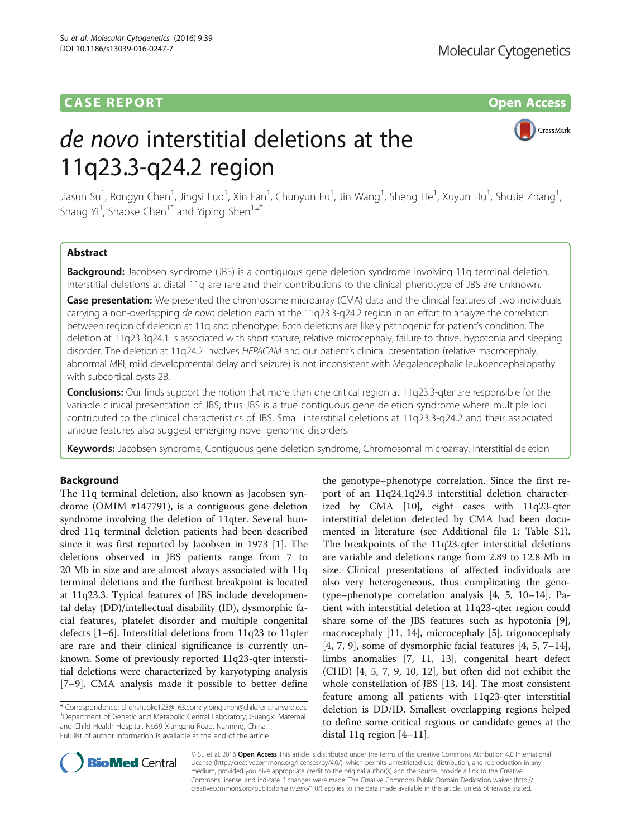# **CASE REPORT CASE REPORT CASE REPORT**

# de novo interstitial deletions at the 11q23.3-q24.2 region



Jiasun Su<sup>1</sup>, Rongyu Chen<sup>1</sup>, Jingsi Luo<sup>1</sup>, Xin Fan<sup>1</sup>, Chunyun Fu<sup>1</sup>, Jin Wang<sup>1</sup>, Sheng He<sup>1</sup>, Xuyun Hu<sup>1</sup>, ShuJie Zhang<sup>1</sup> , Shang Yi<sup>1</sup>, Shaoke Chen<sup>1\*</sup> and Yiping Shen<sup>1,2\*</sup>

## Abstract

Background: Jacobsen syndrome (JBS) is a contiguous gene deletion syndrome involving 11q terminal deletion. Interstitial deletions at distal 11q are rare and their contributions to the clinical phenotype of JBS are unknown.

Case presentation: We presented the chromosome microarray (CMA) data and the clinical features of two individuals carrying a non-overlapping de novo deletion each at the 11q23.3-q24.2 region in an effort to analyze the correlation between region of deletion at 11q and phenotype. Both deletions are likely pathogenic for patient's condition. The deletion at 11q23.3q24.1 is associated with short stature, relative microcephaly, failure to thrive, hypotonia and sleeping disorder. The deletion at 11q24.2 involves HEPACAM and our patient's clinical presentation (relative macrocephaly, abnormal MRI, mild developmental delay and seizure) is not inconsistent with Megalencephalic leukoencephalopathy with subcortical cysts 2B.

Conclusions: Our finds support the notion that more than one critical region at 11q23.3-qter are responsible for the variable clinical presentation of JBS, thus JBS is a true contiguous gene deletion syndrome where multiple loci contributed to the clinical characteristics of JBS. Small interstitial deletions at 11q23.3-q24.2 and their associated unique features also suggest emerging novel genomic disorders.

Keywords: Jacobsen syndrome, Contiguous gene deletion syndrome, Chromosomal microarray, Interstitial deletion

## Background

The 11q terminal deletion, also known as Jacobsen syndrome (OMIM #147791), is a contiguous gene deletion syndrome involving the deletion of 11qter. Several hundred 11q terminal deletion patients had been described since it was first reported by Jacobsen in 1973 [\[1](#page-4-0)]. The deletions observed in JBS patients range from 7 to 20 Mb in size and are almost always associated with 11q terminal deletions and the furthest breakpoint is located at 11q23.3. Typical features of JBS include developmental delay (DD)/intellectual disability (ID), dysmorphic facial features, platelet disorder and multiple congenital defects [[1](#page-4-0)–[6](#page-4-0)]. Interstitial deletions from 11q23 to 11qter are rare and their clinical significance is currently unknown. Some of previously reported 11q23-qter interstitial deletions were characterized by karyotyping analysis [[7](#page-4-0)–[9\]](#page-4-0). CMA analysis made it possible to better define

\* Correspondence: [chenshaoke123@163.com;](mailto:<?A3B2 twb=.27w?><?A3B2 tlsb=-.14pt?>chenshaoke123@163.com) [yiping.shen@childrens.harvard.edu](mailto:<?A3B2 twb=.27w?><?A3B2 tlsb=-.15pt?>yiping.shen@childrens.harvard.edu) <sup>1</sup> <sup>1</sup>Department of Genetic and Metabolic Central Laboratory, Guangxi Maternal and Child Health Hospital, No59 Xiangzhu Road, Nanning, China Full list of author information is available at the end of the article

the genotype–phenotype correlation. Since the first report of an 11q24.1q24.3 interstitial deletion characterized by CMA [[10\]](#page-4-0), eight cases with 11q23-qter interstitial deletion detected by CMA had been documented in literature (see Additional file [1:](#page-4-0) Table S1). The breakpoints of the 11q23-qter interstitial deletions are variable and deletions range from 2.89 to 12.8 Mb in size. Clinical presentations of affected individuals are also very heterogeneous, thus complicating the genotype–phenotype correlation analysis [[4, 5, 10](#page-4-0)–[14\]](#page-4-0). Patient with interstitial deletion at 11q23-qter region could share some of the JBS features such as hypotonia [\[9](#page-4-0)], macrocephaly [\[11, 14\]](#page-4-0), microcephaly [\[5](#page-4-0)], trigonocephaly  $[4, 7, 9]$  $[4, 7, 9]$  $[4, 7, 9]$  $[4, 7, 9]$  $[4, 7, 9]$ , some of dysmorphic facial features  $[4, 5, 7-14]$  $[4, 5, 7-14]$  $[4, 5, 7-14]$  $[4, 5, 7-14]$  $[4, 5, 7-14]$  $[4, 5, 7-14]$  $[4, 5, 7-14]$ , limbs anomalies [[7, 11](#page-4-0), [13\]](#page-4-0), congenital heart defect (CHD) [\[4](#page-4-0), [5](#page-4-0), [7](#page-4-0), [9, 10, 12](#page-4-0)], but often did not exhibit the whole constellation of JBS [\[13, 14](#page-4-0)]. The most consistent feature among all patients with 11q23-qter interstitial deletion is DD/ID. Smallest overlapping regions helped to define some critical regions or candidate genes at the distal 11q region [\[4](#page-4-0)–[11\]](#page-4-0).



© Su et al. 2016 Open Access This article is distributed under the terms of the Creative Commons Attribution 4.0 International License ([http://creativecommons.org/licenses/by/4.0/\)](http://creativecommons.org/licenses/by/4.0/), which permits unrestricted use, distribution, and reproduction in any medium, provided you give appropriate credit to the original author(s) and the source, provide a link to the Creative Commons license, and indicate if changes were made. The Creative Commons Public Domain Dedication waiver ([http://](http://creativecommons.org/publicdomain/zero/1.0/) [creativecommons.org/publicdomain/zero/1.0/\)](http://creativecommons.org/publicdomain/zero/1.0/) applies to the data made available in this article, unless otherwise stated.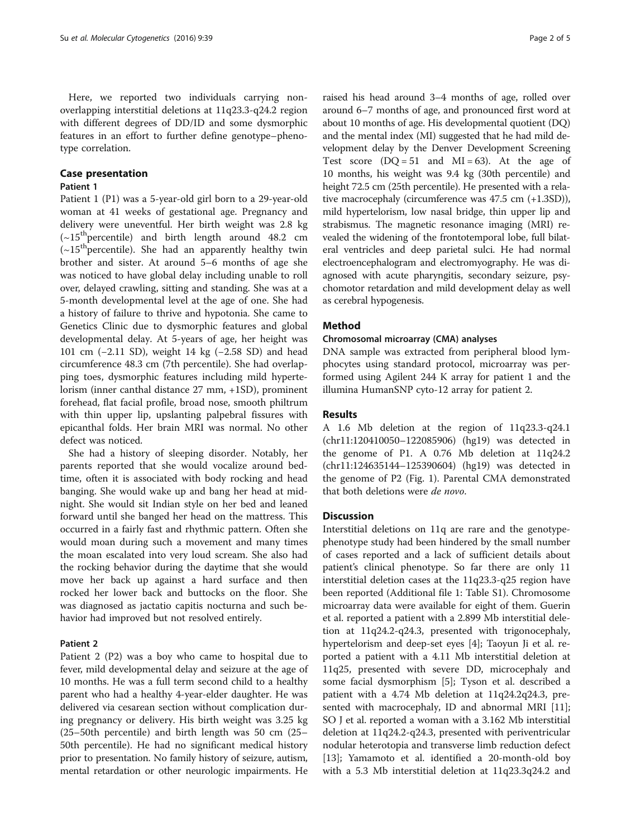Here, we reported two individuals carrying nonoverlapping interstitial deletions at 11q23.3-q24.2 region with different degrees of DD/ID and some dysmorphic features in an effort to further define genotype–phenotype correlation.

## Case presentation

#### Patient 1

Patient 1 (P1) was a 5-year-old girl born to a 29-year-old woman at 41 weeks of gestational age. Pregnancy and delivery were uneventful. Her birth weight was 2.8 kg  $({\sim}15^{th}$  percentile) and birth length around 48.2 cm  $(-15<sup>th</sup>$  percentile). She had an apparently healthy twin brother and sister. At around 5–6 months of age she was noticed to have global delay including unable to roll over, delayed crawling, sitting and standing. She was at a 5-month developmental level at the age of one. She had a history of failure to thrive and hypotonia. She came to Genetics Clinic due to dysmorphic features and global developmental delay. At 5-years of age, her height was 101 cm (−2.11 SD), weight 14 kg (−2.58 SD) and head circumference 48.3 cm (7th percentile). She had overlapping toes, dysmorphic features including mild hypertelorism (inner canthal distance 27 mm, +1SD), prominent forehead, flat facial profile, broad nose, smooth philtrum with thin upper lip, upslanting palpebral fissures with epicanthal folds. Her brain MRI was normal. No other defect was noticed.

She had a history of sleeping disorder. Notably, her parents reported that she would vocalize around bedtime, often it is associated with body rocking and head banging. She would wake up and bang her head at midnight. She would sit Indian style on her bed and leaned forward until she banged her head on the mattress. This occurred in a fairly fast and rhythmic pattern. Often she would moan during such a movement and many times the moan escalated into very loud scream. She also had the rocking behavior during the daytime that she would move her back up against a hard surface and then rocked her lower back and buttocks on the floor. She was diagnosed as jactatio capitis nocturna and such behavior had improved but not resolved entirely.

### Patient 2

Patient 2 (P2) was a boy who came to hospital due to fever, mild developmental delay and seizure at the age of 10 months. He was a full term second child to a healthy parent who had a healthy 4-year-elder daughter. He was delivered via cesarean section without complication during pregnancy or delivery. His birth weight was 3.25 kg (25–50th percentile) and birth length was 50 cm (25– 50th percentile). He had no significant medical history prior to presentation. No family history of seizure, autism, mental retardation or other neurologic impairments. He

raised his head around 3–4 months of age, rolled over around 6–7 months of age, and pronounced first word at about 10 months of age. His developmental quotient (DQ) and the mental index (MI) suggested that he had mild development delay by the Denver Development Screening Test score  $(DQ = 51$  and  $MI = 63$ ). At the age of 10 months, his weight was 9.4 kg (30th percentile) and height 72.5 cm (25th percentile). He presented with a relative macrocephaly (circumference was 47.5 cm (+1.3SD)), mild hypertelorism, low nasal bridge, thin upper lip and strabismus. The magnetic resonance imaging (MRI) revealed the widening of the frontotemporal lobe, full bilateral ventricles and deep parietal sulci. He had normal electroencephalogram and electromyography. He was diagnosed with acute pharyngitis, secondary seizure, psychomotor retardation and mild development delay as well as cerebral hypogenesis.

#### Method

#### Chromosomal microarray (CMA) analyses

DNA sample was extracted from peripheral blood lymphocytes using standard protocol, microarray was performed using Agilent 244 K array for patient 1 and the illumina HumanSNP cyto-12 array for patient 2.

### Results

A 1.6 Mb deletion at the region of 11q23.3-q24.1 (chr11:120410050–122085906) (hg19) was detected in the genome of P1. A 0.76 Mb deletion at 11q24.2 (chr11:124635144–125390604) (hg19) was detected in the genome of P2 (Fig. [1](#page-2-0)). Parental CMA demonstrated that both deletions were de novo.

#### **Discussion**

Interstitial deletions on 11q are rare and the genotypephenotype study had been hindered by the small number of cases reported and a lack of sufficient details about patient's clinical phenotype. So far there are only 11 interstitial deletion cases at the 11q23.3-q25 region have been reported (Additional file [1:](#page-4-0) Table S1). Chromosome microarray data were available for eight of them. Guerin et al. reported a patient with a 2.899 Mb interstitial deletion at 11q24.2-q24.3, presented with trigonocephaly, hypertelorism and deep-set eyes [\[4](#page-4-0)]; Taoyun Ji et al. reported a patient with a 4.11 Mb interstitial deletion at 11q25, presented with severe DD, microcephaly and some facial dysmorphism [[5\]](#page-4-0); Tyson et al. described a patient with a 4.74 Mb deletion at 11q24.2q24.3, presented with macrocephaly, ID and abnormal MRI [\[11](#page-4-0)]; SO J et al. reported a woman with a 3.162 Mb interstitial deletion at 11q24.2-q24.3, presented with periventricular nodular heterotopia and transverse limb reduction defect [[13\]](#page-4-0); Yamamoto et al. identified a 20-month-old boy with a 5.3 Mb interstitial deletion at 11q23.3q24.2 and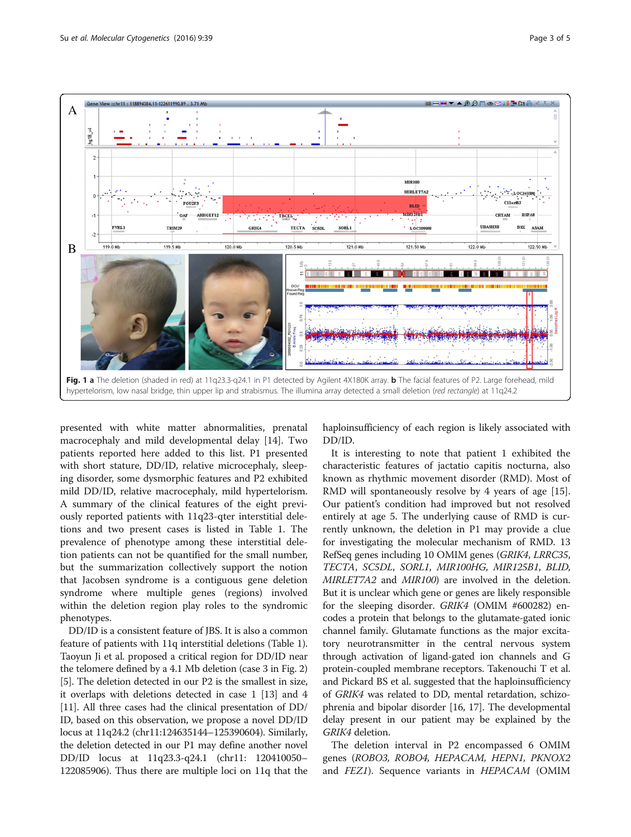hr11: 118894384.11-122611990.89 . 3.71



<span id="page-2-0"></span>

presented with white matter abnormalities, prenatal macrocephaly and mild developmental delay [[14](#page-4-0)]. Two patients reported here added to this list. P1 presented with short stature, DD/ID, relative microcephaly, sleeping disorder, some dysmorphic features and P2 exhibited mild DD/ID, relative macrocephaly, mild hypertelorism. A summary of the clinical features of the eight previously reported patients with 11q23-qter interstitial deletions and two present cases is listed in Table [1](#page-3-0). The prevalence of phenotype among these interstitial deletion patients can not be quantified for the small number, but the summarization collectively support the notion that Jacobsen syndrome is a contiguous gene deletion syndrome where multiple genes (regions) involved within the deletion region play roles to the syndromic phenotypes.

DD/ID is a consistent feature of JBS. It is also a common feature of patients with 11q interstitial deletions (Table [1](#page-3-0)). Taoyun Ji et al. proposed a critical region for DD/ID near the telomere defined by a 4.1 Mb deletion (case 3 in Fig. [2](#page-3-0)) [[5\]](#page-4-0). The deletion detected in our P2 is the smallest in size, it overlaps with deletions detected in case 1 [\[13](#page-4-0)] and 4 [[11](#page-4-0)]. All three cases had the clinical presentation of DD/ ID, based on this observation, we propose a novel DD/ID locus at 11q24.2 (chr11:124635144–125390604). Similarly, the deletion detected in our P1 may define another novel DD/ID locus at 11q23.3-q24.1 (chr11: 120410050– 122085906). Thus there are multiple loci on 11q that the

haploinsufficiency of each region is likely associated with DD/ID.

It is interesting to note that patient 1 exhibited the characteristic features of jactatio capitis nocturna, also known as rhythmic movement disorder (RMD). Most of RMD will spontaneously resolve by 4 years of age [\[15](#page-4-0)]. Our patient's condition had improved but not resolved entirely at age 5. The underlying cause of RMD is currently unknown, the deletion in P1 may provide a clue for investigating the molecular mechanism of RMD. 13 RefSeq genes including 10 OMIM genes (GRIK4, LRRC35, TECTA, SC5DL, SORL1, MIR100HG, MIR125B1, BLID, MIRLET7A2 and MIR100) are involved in the deletion. But it is unclear which gene or genes are likely responsible for the sleeping disorder. GRIK4 (OMIM #600282) encodes a protein that belongs to the glutamate-gated ionic channel family. Glutamate functions as the major excitatory neurotransmitter in the central nervous system through activation of ligand-gated ion channels and G protein-coupled membrane receptors. Takenouchi T et al. and Pickard BS et al. suggested that the haploinsufficiency of GRIK4 was related to DD, mental retardation, schizophrenia and bipolar disorder [\[16](#page-4-0), [17](#page-4-0)]. The developmental delay present in our patient may be explained by the GRIK4 deletion.

The deletion interval in P2 encompassed 6 OMIM genes (ROBO3, ROBO4, HEPACAM, HEPN1, PKNOX2 and *FEZ1*). Sequence variants in *HEPACAM* (OMIM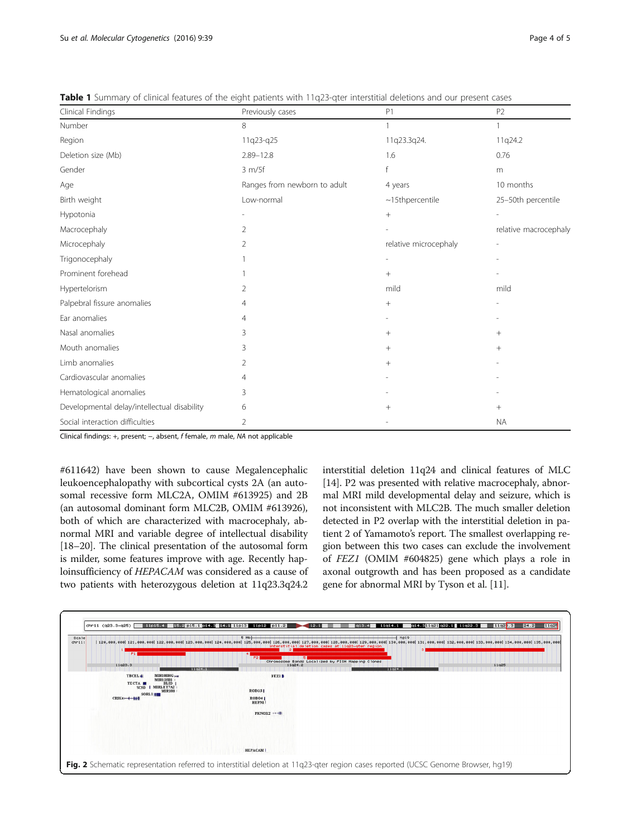| Clinical Findings                           | Previously cases             | P1                     | P <sub>2</sub>           |
|---------------------------------------------|------------------------------|------------------------|--------------------------|
| Number                                      | 8                            |                        |                          |
| Region                                      | 11q23-q25                    | 11q23.3q24.            | 11q24.2                  |
| Deletion size (Mb)                          | $2.89 - 12.8$                | 1.6                    | 0.76                     |
| Gender                                      | 3 m/5f                       |                        | m                        |
| Age                                         | Ranges from newborn to adult | 4 years                | 10 months                |
| Birth weight                                | Low-normal                   | $~\sim$ 15thpercentile | 25-50th percentile       |
| Hypotonia                                   |                              | $^{+}$                 |                          |
| Macrocephaly                                | 2                            |                        | relative macrocephaly    |
| Microcephaly                                | 2                            | relative microcephaly  | $\overline{\phantom{a}}$ |
| Trigonocephaly                              |                              |                        |                          |
| Prominent forehead                          |                              | $+$                    |                          |
| Hypertelorism                               | 2                            | mild                   | mild                     |
| Palpebral fissure anomalies                 | 4                            | $^{+}$                 |                          |
| Ear anomalies                               | $\overline{4}$               |                        |                          |
| Nasal anomalies                             | 3                            | $^{+}$                 | $^{+}$                   |
| Mouth anomalies                             | 3                            | $+$                    | $^{+}$                   |
| Limb anomalies                              | 2                            | $+$                    |                          |
| Cardiovascular anomalies                    | $\overline{4}$               |                        |                          |
| Hematological anomalies                     | 3                            |                        |                          |
| Developmental delay/intellectual disability | 6                            | $^{+}$                 | $^{+}$                   |
| Social interaction difficulties             | 2                            |                        | <b>NA</b>                |

<span id="page-3-0"></span>Table 1 Summary of clinical features of the eight patients with 11q23-qter interstitial deletions and our present cases

Clinical findings: +, present; −, absent, f female, m male, NA not applicable

#611642) have been shown to cause Megalencephalic leukoencephalopathy with subcortical cysts 2A (an autosomal recessive form MLC2A, OMIM #613925) and 2B (an autosomal dominant form MLC2B, OMIM #613926), both of which are characterized with macrocephaly, abnormal MRI and variable degree of intellectual disability [[18](#page-4-0)–[20\]](#page-4-0). The clinical presentation of the autosomal form is milder, some features improve with age. Recently haploinsufficiency of HEPACAM was considered as a cause of two patients with heterozygous deletion at 11q23.3q24.2 interstitial deletion 11q24 and clinical features of MLC [[14](#page-4-0)]. P2 was presented with relative macrocephaly, abnormal MRI mild developmental delay and seizure, which is not inconsistent with MLC2B. The much smaller deletion detected in P2 overlap with the interstitial deletion in patient 2 of Yamamoto's report. The smallest overlapping region between this two cases can exclude the involvement of FEZ1 (OMIM #604825) gene which plays a role in axonal outgrowth and has been proposed as a candidate gene for abnormal MRI by Tyson et al. [[11](#page-4-0)].